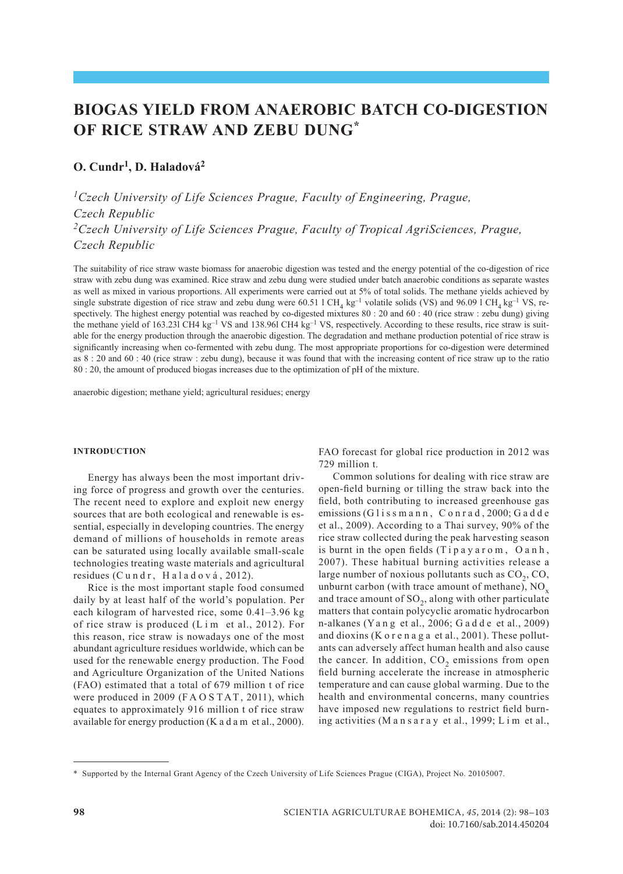# **BIOGAS yield from Anaerobic batch co-digestion of RICE STRAW and zebu dung\***

# **O. Cundr1, D. Haladová2**

*1Czech University of Life Sciences Prague, Faculty of Engineering, Prague, Czech Republic 2Czech University of Life Sciences Prague, Faculty of Tropical AgriSciences, Prague, Czech Republic*

The suitability of rice straw waste biomass for anaerobic digestion was tested and the energy potential of the co-digestion of rice straw with zebu dung was examined. Rice straw and zebu dung were studied under batch anaerobic conditions as separate wastes as well as mixed in various proportions. All experiments were carried out at 5% of total solids. The methane yields achieved by single substrate digestion of rice straw and zebu dung were  $60.51$  l CH<sub>4</sub> kg<sup>-1</sup> volatile solids (VS) and 96.09 l CH<sub>4</sub> kg<sup>-1</sup> VS, respectively. The highest energy potential was reached by co-digested mixtures 80 : 20 and 60 : 40 (rice straw : zebu dung) giving the methane yield of 163.231 CH4 kg<sup>-1</sup> VS and 138.96l CH4 kg<sup>-1</sup> VS, respectively. According to these results, rice straw is suitable for the energy production through the anaerobic digestion. The degradation and methane production potential of rice straw is significantly increasing when co-fermented with zebu dung. The most appropriate proportions for co-digestion were determined as 8 : 20 and 60 : 40 (rice straw : zebu dung), because it was found that with the increasing content of rice straw up to the ratio 80 : 20, the amount of produced biogas increases due to the optimization of pH of the mixture.

anaerobic digestion; methane yield; agricultural residues; energy

#### **INTRODUCTION**

Energy has always been the most important driving force of progress and growth over the centuries. The recent need to explore and exploit new energy sources that are both ecological and renewable is essential, especially in developing countries. The energy demand of millions of households in remote areas can be saturated using locally available small-scale technologies treating waste materials and agricultural residues (Cundr, Haladová, 2012).

Rice is the most important staple food consumed daily by at least half of the world's population. Per each kilogram of harvested rice, some 0.41–3.96 kg of rice straw is produced  $(L \text{ im } et \text{ al., } 2012)$ . For this reason, rice straw is nowadays one of the most abundant agriculture residues worldwide, which can be used for the renewable energy production. The Food and Agriculture Organization of the United Nations (FAO) estimated that a total of 679 million t of rice were produced in 2009 (FAOSTAT, 2011), which equates to approximately 916 million t of rice straw available for energy production (K a d a m et al., 2000). FAO forecast for global rice production in 2012 was 729 million t.

Common solutions for dealing with rice straw are open-field burning or tilling the straw back into the field, both contributing to increased greenhouse gas emissions (Glissmann, Conrad, 2000; Gadde et al., 2009). According to a Thai survey, 90% of the rice straw collected during the peak harvesting season is burnt in the open fields  $(Tipayarom, Oanh,$ 2007). These habitual burning activities release a large number of noxious pollutants such as  $CO<sub>2</sub>$ ,  $CO<sub>2</sub>$ , unburnt carbon (with trace amount of methane),  $NO<sub>x</sub>$ and trace amount of  $SO_2$ , along with other particulate matters that contain polycyclic aromatic hydrocarbon n-alkanes (Y a n g et al., 2006; G a d d e et al., 2009) and dioxins (K o r e n a g a et al., 2001). These pollutants can adversely affect human health and also cause the cancer. In addition,  $CO<sub>2</sub>$  emissions from open field burning accelerate the increase in atmospheric temperature and can cause global warming. Due to the health and environmental concerns, many countries have imposed new regulations to restrict field burning activities (M a n s a r a y et al., 1999; L i m et al.,

<sup>\*</sup> Supported by the Internal Grant Agency of the Czech University of Life Sciences Prague (CIGA), Project No. 20105007.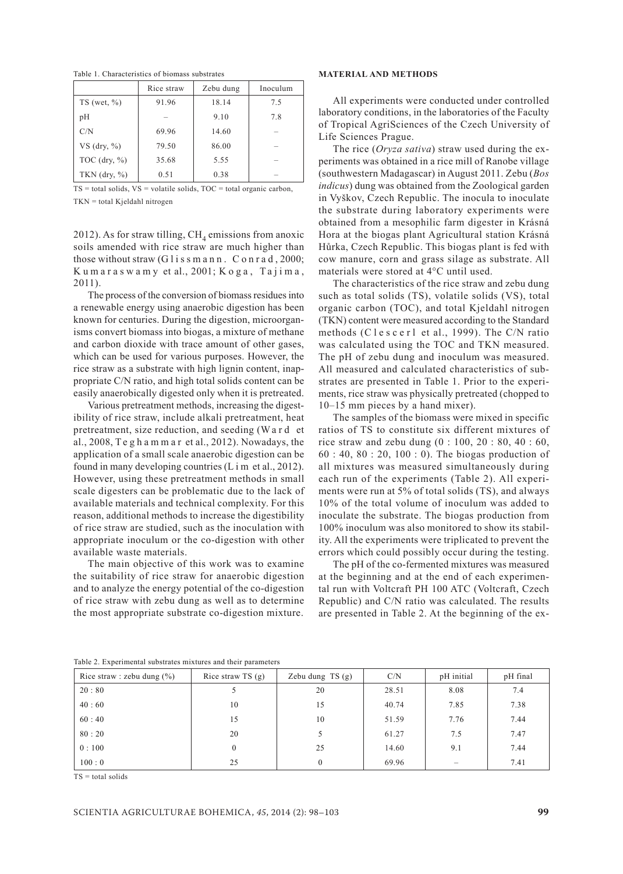Table 1. Characteristics of biomass substrates

|                                 | Rice straw | Zebu dung | Inoculum |
|---------------------------------|------------|-----------|----------|
| $TS$ (wet, $\%$ )               | 91.96      | 18.14     | 7.5      |
| рH                              |            | 9.10      | 7.8      |
| C/N                             | 69.96      | 14.60     |          |
| VS $(\text{dry}, \frac{9}{6})$  | 79.50      | 86.00     |          |
| TOC $(\text{dry}, \frac{9}{6})$ | 35.68      | 5.55      |          |
| TKN $(\text{dry}, \frac{9}{6})$ | 0.51       | 0.38      |          |

 $TS = total$  solids,  $VS =$  volatile solids,  $TOC =$  total organic carbon, TKN = total Kjeldahl nitrogen

2012). As for straw tilling,  $\text{CH}_4$  emissions from anoxic soils amended with rice straw are much higher than those without straw  $(G \mid i \leq s \mid n \mid n \mid n \in \mathbb{Z})$ . C o n r a d, 2000;  $K$ u m a r a s w a m y et al., 2001;  $K$  o g a, T a j i m a, 2011).

The process of the conversion of biomass residues into a renewable energy using anaerobic digestion has been known for centuries. During the digestion, microorganisms convert biomass into biogas, a mixture of methane and carbon dioxide with trace amount of other gases, which can be used for various purposes. However, the rice straw as a substrate with high lignin content, inappropriate C/N ratio, and high total solids content can be easily anaerobically digested only when it is pretreated.

Various pretreatment methods, increasing the digestibility of rice straw, include alkali pretreatment, heat pretreatment, size reduction, and seeding (W a r d et al., 2008, T e g h a m m a r et al., 2012). Nowadays, the application of a small scale anaerobic digestion can be found in many developing countries (L i m et al., 2012). However, using these pretreatment methods in small scale digesters can be problematic due to the lack of available materials and technical complexity. For this reason, additional methods to increase the digestibility of rice straw are studied, such as the inoculation with appropriate inoculum or the co-digestion with other available waste materials.

The main objective of this work was to examine the suitability of rice straw for anaerobic digestion and to analyze the energy potential of the co-digestion of rice straw with zebu dung as well as to determine the most appropriate substrate co-digestion mixture.

### **MATERIAL AND METHODS**

All experiments were conducted under controlled laboratory conditions, in the laboratories of the Faculty of Tropical AgriSciences of the Czech University of Life Sciences Prague.

The rice (*Oryza sativa*) straw used during the experiments was obtained in a rice mill of Ranobe village (southwestern Madagascar) in August 2011. Zebu (*Bos indicus*) dung was obtained from the Zoological garden in Vyškov, Czech Republic. The inocula to inoculate the substrate during laboratory experiments were obtained from a mesophilic farm digester in Krásná Hora at the biogas plant Agricultural station Krásná Hůrka, Czech Republic. This biogas plant is fed with cow manure, corn and grass silage as substrate. All materials were stored at 4°C until used.

The characteristics of the rice straw and zebu dung such as total solids (TS), volatile solids (VS), total organic carbon (TOC), and total Kjeldahl nitrogen (TKN) content were measured according to the Standard methods (C l e s c e r l et al., 1999). The C/N ratio was calculated using the TOC and TKN measured. The pH of zebu dung and inoculum was measured. All measured and calculated characteristics of substrates are presented in Table 1. Prior to the experiments, rice straw was physically pretreated (chopped to 10–15 mm pieces by a hand mixer).

The samples of the biomass were mixed in specific ratios of TS to constitute six different mixtures of rice straw and zebu dung (0 : 100, 20 : 80, 40 : 60, 60 : 40, 80 : 20, 100 : 0). The biogas production of all mixtures was measured simultaneously during each run of the experiments (Table 2). All experiments were run at 5% of total solids (TS), and always 10% of the total volume of inoculum was added to inoculate the substrate. The biogas production from 100% inoculum was also monitored to show its stability. All the experiments were triplicated to prevent the errors which could possibly occur during the testing.

The pH of the co-fermented mixtures was measured at the beginning and at the end of each experimental run with Voltcraft PH 100 ATC (Voltcraft, Czech Republic) and C/N ratio was calculated. The results are presented in Table 2. At the beginning of the ex-

| Rice straw : zebu dung $(\% )$ | Rice straw $TS(g)$ | Zebu dung $TS(g)$ | C/N   | pH initial | pH final |
|--------------------------------|--------------------|-------------------|-------|------------|----------|
| 20:80                          |                    | 20                | 28.51 | 8.08       | 7.4      |
| 40:60                          | 10                 | 15                | 40.74 | 7.85       | 7.38     |
| 60:40                          | 15                 | 10                | 51.59 | 7.76       | 7.44     |
| 80:20                          | 20                 | 5                 | 61.27 | 7.5        | 7.47     |
| 0:100                          | 0                  | 25                | 14.60 | 9.1        | 7.44     |
| 100:0                          | 25                 | $\theta$          | 69.96 |            | 7.41     |

Table 2. Experimental substrates mixtures and their parameters

 $TS = total$  solids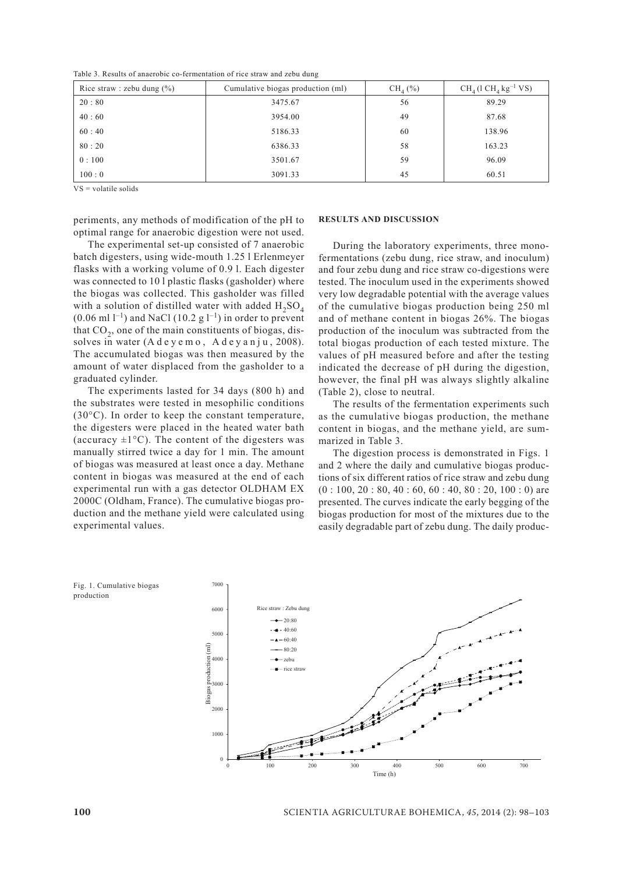Table 3. Results of anaerobic co-fermentation of rice straw and zebu dung

| Rice straw : zebu dung $(\% )$ | Cumulative biogas production (ml) | $CH_{4}$ (%) | $CH4$ (1 $CH4$ kg <sup>-1</sup> VS) |
|--------------------------------|-----------------------------------|--------------|-------------------------------------|
| 20:80                          | 3475.67                           | 56           | 89.29                               |
| 40:60                          | 3954.00                           | 49           | 87.68                               |
| 60:40                          | 5186.33                           | 60           | 138.96                              |
| 80:20                          | 6386.33                           | 58           | 163.23                              |
| 0:100                          | 3501.67                           | 59           | 96.09                               |
| 100:0                          | 3091.33                           | 45           | 60.51                               |

VS = volatile solids

periments, any methods of modification of the pH to optimal range for anaerobic digestion were not used.

The experimental set-up consisted of 7 anaerobic batch digesters, using wide-mouth 1.25 l Erlenmeyer flasks with a working volume of 0.9 l. Each digester was connected to 10 l plastic flasks (gasholder) where the biogas was collected. This gasholder was filled with a solution of distilled water with added  $H_2SO_4$  $(0.06 \text{ ml } 1^{-1})$  and NaCl  $(10.2 \text{ g } 1^{-1})$  in order to prevent that  $CO<sub>2</sub>$ , one of the main constituents of biogas, dissolves in water  $(A \, d \, e \, y \, e \, m \, o$ ,  $A \, d \, e \, y \, a \, n \, j \, u$ , 2008). The accumulated biogas was then measured by the amount of water displaced from the gasholder to a graduated cylinder.

The experiments lasted for 34 days (800 h) and the substrates were tested in mesophilic conditions (30°C). In order to keep the constant temperature, the digesters were placed in the heated water bath (accuracy  $\pm 1^{\circ}$ C). The content of the digesters was manually stirred twice a day for 1 min. The amount of biogas was measured at least once a day. Methane content in biogas was measured at the end of each experimental run with a gas detector OLDHAM EX 2000C (Oldham, France). The cumulative biogas production and the methane yield were calculated using experimental values.

#### **RESULTS AND DISCUSSION**

During the laboratory experiments, three monofermentations (zebu dung, rice straw, and inoculum) and four zebu dung and rice straw co-digestions were tested. The inoculum used in the experiments showed very low degradable potential with the average values of the cumulative biogas production being 250 ml and of methane content in biogas 26%. The biogas production of the inoculum was subtracted from the total biogas production of each tested mixture. The values of pH measured before and after the testing indicated the decrease of pH during the digestion, however, the final pH was always slightly alkaline (Table 2), close to neutral.

The results of the fermentation experiments such as the cumulative biogas production, the methane content in biogas, and the methane yield, are summarized in Table 3.

The digestion process is demonstrated in Figs. 1 and 2 where the daily and cumulative biogas productions of six different ratios of rice straw and zebu dung  $(0: 100, 20: 80, 40: 60, 60: 40, 80: 20, 100: 0)$  are presented. The curves indicate the early begging of the biogas production for most of the mixtures due to the easily degradable part of zebu dung. The daily produc-

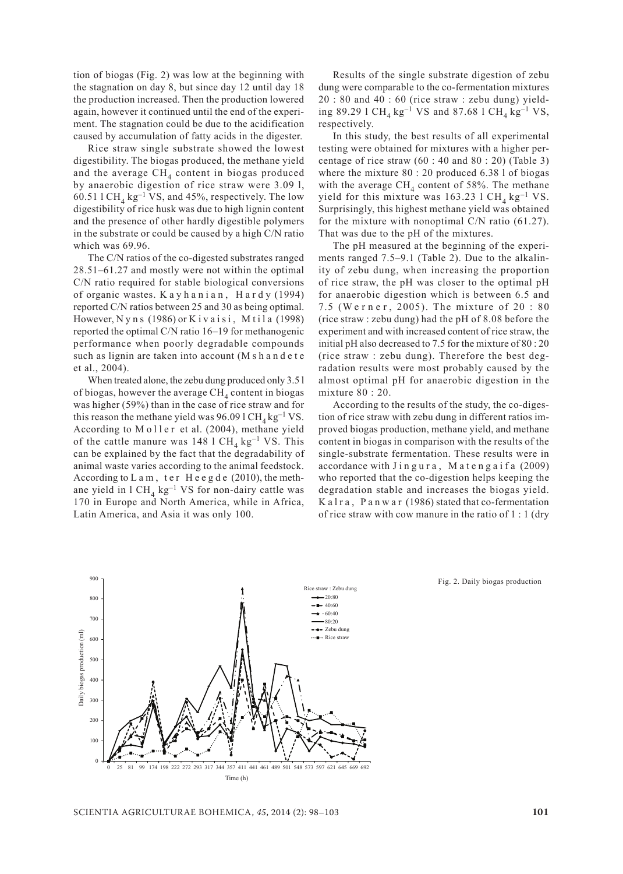tion of biogas (Fig. 2) was low at the beginning with the stagnation on day 8, but since day 12 until day 18 the production increased. Then the production lowered again, however it continued until the end of the experiment. The stagnation could be due to the acidification caused by accumulation of fatty acids in the digester.

Rice straw single substrate showed the lowest digestibility. The biogas produced, the methane yield and the average  $\text{CH}_4$  content in biogas produced by anaerobic digestion of rice straw were 3.09 l, 60.51 l CH<sub>4</sub> kg<sup>-1</sup> VS, and 45%, respectively. The low digestibility of rice husk was due to high lignin content and the presence of other hardly digestible polymers in the substrate or could be caused by a high C/N ratio which was 69.96.

The C/N ratios of the co-digested substrates ranged 28.51–61.27 and mostly were not within the optimal C/N ratio required for stable biological conversions of organic wastes. K a y h a n i a n , H a r d y (1994) reported C/N ratios between 25 and 30 as being optimal. However,  $N y$  n s (1986) or K i v a i s i, M t i l a (1998) reported the optimal C/N ratio 16–19 for methanogenic performance when poorly degradable compounds such as lignin are taken into account (M s h a n d e t e et al., 2004).

When treated alone, the zebu dung produced only 3.5 l of biogas, however the average  $CH<sub>4</sub>$  content in biogas was higher (59%) than in the case of rice straw and for this reason the methane yield was 96.09 l CH<sub>4</sub> kg<sup>-1</sup> VS. According to Moller et al. (2004), methane yield of the cattle manure was 148 l CH<sub>4</sub> kg<sup>-1</sup> VS. This can be explained by the fact that the degradability of animal waste varies according to the animal feedstock. According to  $L$  a m, ter Heegde (2010), the methane yield in  $1 \text{ CH}_4$  kg<sup>-1</sup> VS for non-dairy cattle was 170 in Europe and North America, while in Africa, Latin America, and Asia it was only 100.

Results of the single substrate digestion of zebu dung were comparable to the co-fermentation mixtures 20 : 80 and 40 : 60 (rice straw : zebu dung) yielding 89.29 l CH<sub>4</sub> kg<sup>-1</sup> VS and 87.68 l CH<sub>4</sub> kg<sup>-1</sup> VS, respectively.

In this study, the best results of all experimental testing were obtained for mixtures with a higher percentage of rice straw  $(60: 40$  and  $80: 20)$  (Table 3) where the mixture 80 : 20 produced 6.38 l of biogas with the average  $\text{CH}_4$  content of 58%. The methane yield for this mixture was  $163.23$  l CH<sub>4</sub> kg<sup>-1</sup> VS. Surprisingly, this highest methane yield was obtained for the mixture with nonoptimal C/N ratio (61.27). That was due to the pH of the mixtures.

The pH measured at the beginning of the experiments ranged 7.5–9.1 (Table 2). Due to the alkalinity of zebu dung, when increasing the proportion of rice straw, the pH was closer to the optimal pH for anaerobic digestion which is between 6.5 and 7.5 (Werner, 2005). The mixture of 20:80 (rice straw : zebu dung) had the pH of 8.08 before the experiment and with increased content of rice straw, the initial pH also decreased to 7.5 for the mixture of 80 : 20 (rice straw : zebu dung). Therefore the best degradation results were most probably caused by the almost optimal pH for anaerobic digestion in the mixture 80 : 20.

According to the results of the study, the co-digestion of rice straw with zebu dung in different ratios improved biogas production, methane yield, and methane content in biogas in comparison with the results of the single-substrate fermentation. These results were in accordance with Jingura, Matengaifa (2009) who reported that the co-digestion helps keeping the degradation stable and increases the biogas yield. Kalra, Panwar (1986) stated that co-fermentation of rice straw with cow manure in the ratio of 1 : 1 (dry



Fig. 2. Daily biogas production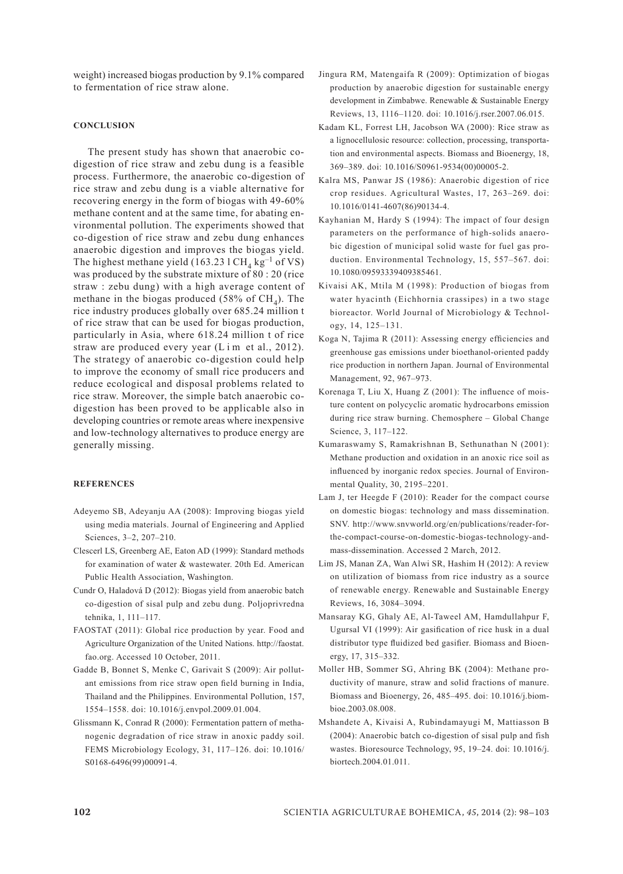weight) increased biogas production by 9.1% compared to fermentation of rice straw alone.

### **CONCLUSION**

The present study has shown that anaerobic codigestion of rice straw and zebu dung is a feasible process. Furthermore, the anaerobic co-digestion of rice straw and zebu dung is a viable alternative for recovering energy in the form of biogas with 49-60% methane content and at the same time, for abating environmental pollution. The experiments showed that co-digestion of rice straw and zebu dung enhances anaerobic digestion and improves the biogas yield. The highest methane yield (163.23 l CH<sub>4</sub> kg<sup>-1</sup> of VS) was produced by the substrate mixture of 80 : 20 (rice straw : zebu dung) with a high average content of methane in the biogas produced (58% of  $CH<sub>4</sub>$ ). The rice industry produces globally over 685.24 million t of rice straw that can be used for biogas production, particularly in Asia, where 618.24 million t of rice straw are produced every year (L i m et al., 2012). The strategy of anaerobic co-digestion could help to improve the economy of small rice producers and reduce ecological and disposal problems related to rice straw. Moreover, the simple batch anaerobic codigestion has been proved to be applicable also in developing countries or remote areas where inexpensive and low-technology alternatives to produce energy are generally missing.

## **REFERENCES**

- Adeyemo SB, Adeyanju AA (2008): Improving biogas yield using media materials. Journal of Engineering and Applied Sciences, 3–2, 207–210.
- Clescerl LS, Greenberg AE, Eaton AD (1999): Standard methods for examination of water & wastewater. 20th Ed. American Public Health Association, Washington.
- Cundr O, Haladová D (2012): Biogas yield from anaerobic batch co-digestion of sisal pulp and zebu dung. Poljoprivredna tehnika, 1, 111–117.
- FAOSTAT (2011): Global rice production by year. Food and Agriculture Organization of the United Nations. http://faostat. fao.org. Accessed 10 October, 2011.
- Gadde B, Bonnet S, Menke C, Garivait S (2009): Air pollutant emissions from rice straw open field burning in India, Thailand and the Philippines. Environmental Pollution, 157, 1554–1558. doi: 10.1016/j.envpol.2009.01.004.
- Glissmann K, Conrad R (2000): Fermentation pattern of methanogenic degradation of rice straw in anoxic paddy soil. FEMS Microbiology Ecology, 31, 117–126. doi: 10.1016/ S0168-6496(99)00091-4.
- Jingura RM, Matengaifa R (2009): Optimization of biogas production by anaerobic digestion for sustainable energy development in Zimbabwe. Renewable & Sustainable Energy Reviews, 13, 1116–1120. doi: 10.1016/j.rser.2007.06.015.
- Kadam KL, Forrest LH, Jacobson WA (2000): Rice straw as a lignocellulosic resource: collection, processing, transportation and environmental aspects. Biomass and Bioenergy, 18, 369–389. doi: 10.1016/S0961-9534(00)00005-2.
- Kalra MS, Panwar JS (1986): Anaerobic digestion of rice crop residues. Agricultural Wastes, 17, 263–269. doi: 10.1016/0141-4607(86)90134-4.
- Kayhanian M, Hardy S (1994): The impact of four design parameters on the performance of high-solids anaerobic digestion of municipal solid waste for fuel gas production. Environmental Technology, 15, 557–567. doi: 10.1080/09593339409385461.
- Kivaisi AK, Mtila M (1998): Production of biogas from water hyacinth (Eichhornia crassipes) in a two stage bioreactor. World Journal of Microbiology & Technology, 14, 125–131.
- Koga N, Tajima R (2011): Assessing energy efficiencies and greenhouse gas emissions under bioethanol-oriented paddy rice production in northern Japan. Journal of Environmental Management, 92, 967–973.
- Korenaga T, Liu X, Huang Z (2001): The influence of moisture content on polycyclic aromatic hydrocarbons emission during rice straw burning. Chemosphere – Global Change Science, 3, 117–122.
- Kumaraswamy S, Ramakrishnan B, Sethunathan N (2001): Methane production and oxidation in an anoxic rice soil as influenced by inorganic redox species. Journal of Environmental Quality, 30, 2195–2201.
- Lam J, ter Heegde F (2010): Reader for the compact course on domestic biogas: technology and mass dissemination. SNV. http://www.snvworld.org/en/publications/reader-forthe-compact-course-on-domestic-biogas-technology-andmass-dissemination. Accessed 2 March, 2012.
- Lim JS, Manan ZA, Wan Alwi SR, Hashim H (2012): A review on utilization of biomass from rice industry as a source of renewable energy. Renewable and Sustainable Energy Reviews, 16, 3084–3094.
- Mansaray KG, Ghaly AE, Al-Taweel AM, Hamdullahpur F, Ugursal VI (1999): Air gasification of rice husk in a dual distributor type fluidized bed gasifier. Biomass and Bioenergy, 17, 315–332.
- Moller HB, Sommer SG, Ahring BK (2004): Methane productivity of manure, straw and solid fractions of manure. Biomass and Bioenergy, 26, 485–495. doi: 10.1016/j.biombioe.2003.08.008.
- Mshandete A, Kivaisi A, Rubindamayugi M, Mattiasson B (2004): Anaerobic batch co-digestion of sisal pulp and fish wastes. Bioresource Technology, 95, 19–24. doi: 10.1016/j. biortech.2004.01.011.